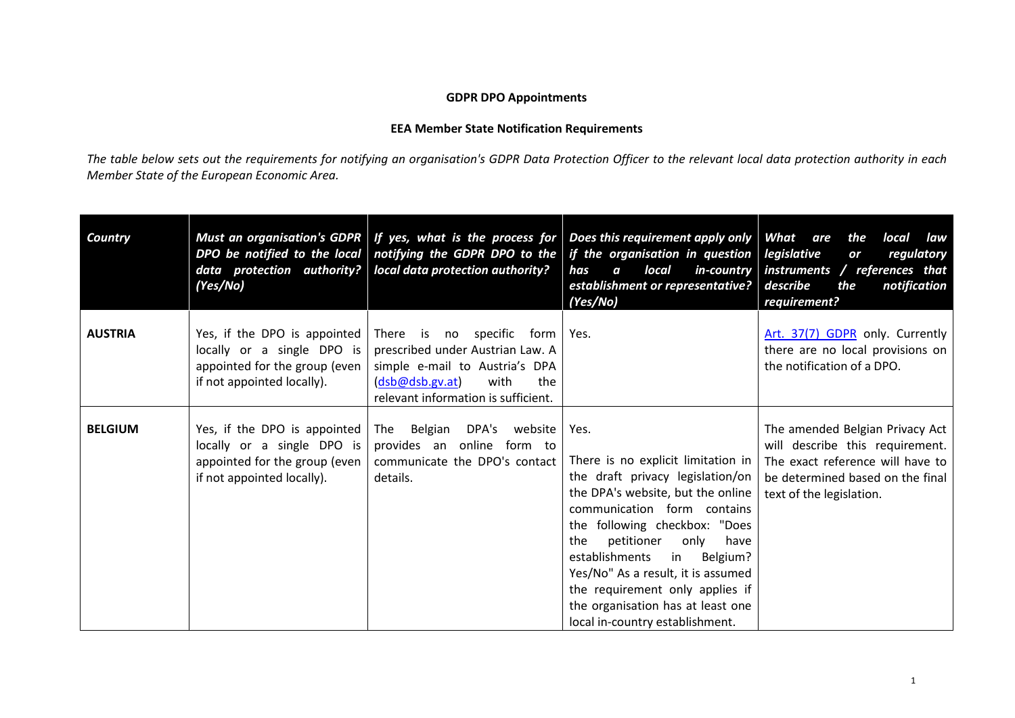## **GDPR DPO Appointments**

## **EEA Member State Notification Requirements**

*The table below sets out the requirements for notifying an organisation's GDPR Data Protection Officer to the relevant local data protection authority in each Member State of the European Economic Area.*

| <b>Country</b> | (Yes/No)                                                                                                                  | DPO be notified to the local notifying the GDPR DPO to the<br>data protection authority?   local data protection authority?                                              | Must an organisation's GDPR $\mid$ If yes, what is the process for $\mid$ Does this requirement apply only $\mid$ What are<br>if the organisation in question   legislative<br>local<br>has<br>$\boldsymbol{a}$<br>establishment or representative?   describe<br>(Yes/No)                                                                                                                                               | the<br>local<br>law<br>regulatory<br>or<br>in-country instruments / references that<br>the<br>notification<br>requirement?                                             |
|----------------|---------------------------------------------------------------------------------------------------------------------------|--------------------------------------------------------------------------------------------------------------------------------------------------------------------------|--------------------------------------------------------------------------------------------------------------------------------------------------------------------------------------------------------------------------------------------------------------------------------------------------------------------------------------------------------------------------------------------------------------------------|------------------------------------------------------------------------------------------------------------------------------------------------------------------------|
| <b>AUSTRIA</b> | Yes, if the DPO is appointed<br>locally or a single DPO is<br>appointed for the group (even<br>if not appointed locally). | There is no specific form<br>prescribed under Austrian Law. A<br>simple e-mail to Austria's DPA<br>with<br>(dsb@dsb.gv.at)<br>the<br>relevant information is sufficient. | Yes.                                                                                                                                                                                                                                                                                                                                                                                                                     | Art. 37(7) GDPR only. Currently<br>there are no local provisions on<br>the notification of a DPO.                                                                      |
| <b>BELGIUM</b> | Yes, if the DPO is appointed<br>locally or a single DPO is<br>appointed for the group (even<br>if not appointed locally). | The Belgian DPA's website<br>provides an online form to<br>communicate the DPO's contact<br>details.                                                                     | Yes.<br>There is no explicit limitation in<br>the draft privacy legislation/on<br>the DPA's website, but the online<br>communication form contains<br>the following checkbox: "Does<br>have<br>petitioner<br>only<br>the<br>establishments<br>$\mathsf{in}$<br>Belgium?<br>Yes/No" As a result, it is assumed<br>the requirement only applies if<br>the organisation has at least one<br>local in-country establishment. | The amended Belgian Privacy Act<br>will describe this requirement.<br>The exact reference will have to<br>be determined based on the final<br>text of the legislation. |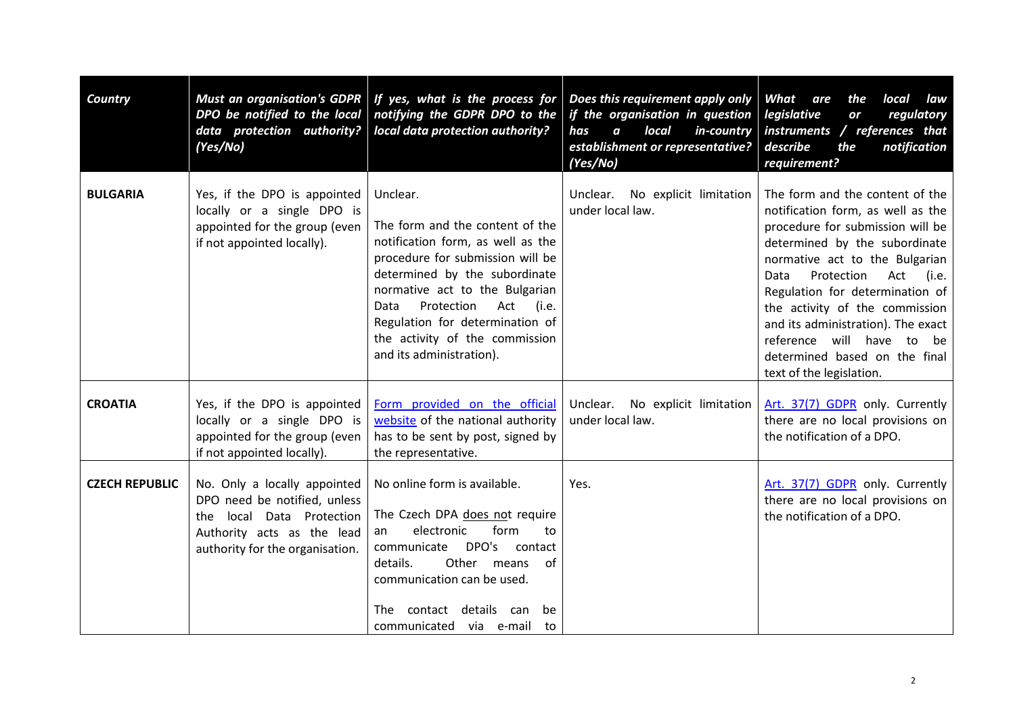| Country               | DPO be notified to the local<br>data protection authority?<br>(Yes/No)                                                                                        | Must an organisation's GDPR   If yes, what is the process for<br>notifying the GDPR DPO to the<br>local data protection authority?                                                                                                                                                                                             | Does this requirement apply only<br>if the organisation in question   legislative<br>local<br>in-country<br>has<br>$\boldsymbol{a}$<br>establishment or representative?<br>(Yes/No) | What<br>local<br>are<br>the<br>law<br>regulatory<br>or<br>instruments / references that<br>describe<br>the<br>notification<br>requirement?                                                                                                                                                                                                                                                                                |
|-----------------------|---------------------------------------------------------------------------------------------------------------------------------------------------------------|--------------------------------------------------------------------------------------------------------------------------------------------------------------------------------------------------------------------------------------------------------------------------------------------------------------------------------|-------------------------------------------------------------------------------------------------------------------------------------------------------------------------------------|---------------------------------------------------------------------------------------------------------------------------------------------------------------------------------------------------------------------------------------------------------------------------------------------------------------------------------------------------------------------------------------------------------------------------|
| <b>BULGARIA</b>       | Yes, if the DPO is appointed<br>locally or a single DPO is<br>appointed for the group (even<br>if not appointed locally).                                     | Unclear.<br>The form and the content of the<br>notification form, as well as the<br>procedure for submission will be<br>determined by the subordinate<br>normative act to the Bulgarian<br>Protection<br>Act<br>(i.e.<br>Data<br>Regulation for determination of<br>the activity of the commission<br>and its administration). | No explicit limitation<br>Unclear.<br>under local law.                                                                                                                              | The form and the content of the<br>notification form, as well as the<br>procedure for submission will be<br>determined by the subordinate<br>normative act to the Bulgarian<br>Protection<br>Act<br>(i.e.<br>Data<br>Regulation for determination of<br>the activity of the commission<br>and its administration). The exact<br>reference will have to<br>be<br>determined based on the final<br>text of the legislation. |
| <b>CROATIA</b>        | Yes, if the DPO is appointed<br>locally or a single DPO is<br>appointed for the group (even<br>if not appointed locally).                                     | Form provided on the official<br>website of the national authority<br>has to be sent by post, signed by<br>the representative.                                                                                                                                                                                                 | Unclear.<br>No explicit limitation<br>under local law.                                                                                                                              | Art. 37(7) GDPR only. Currently<br>there are no local provisions on<br>the notification of a DPO.                                                                                                                                                                                                                                                                                                                         |
| <b>CZECH REPUBLIC</b> | No. Only a locally appointed<br>DPO need be notified, unless<br>local Data Protection<br>the<br>Authority acts as the lead<br>authority for the organisation. | No online form is available.<br>The Czech DPA does not require<br>form<br>electronic<br>to<br>an<br>DPO's<br>communicate<br>contact<br>Other means<br>details.<br>0f<br>communication can be used.<br>contact details can<br>The<br>be<br>communicated via e-mail<br>to                                                        | Yes.                                                                                                                                                                                | Art. 37(7) GDPR only. Currently<br>there are no local provisions on<br>the notification of a DPO.                                                                                                                                                                                                                                                                                                                         |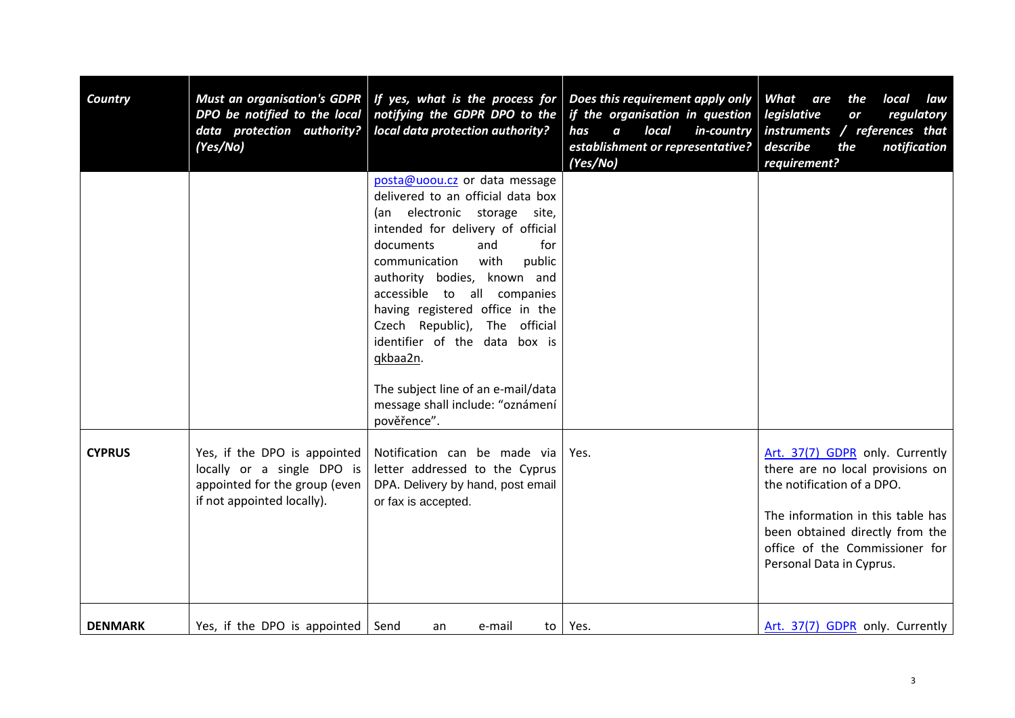| Country        | <b>Must an organisation's GDPR</b><br>DPO be notified to the local<br>data protection authority?<br>(Yes/No)              | If yes, what is the process for<br>notifying the GDPR DPO to the<br>local data protection authority?                                                                                                                                                                                                                                                                                                                                                                                | Does this requirement apply only<br>if the organisation in question<br>local<br>in-country<br>has<br>$\boldsymbol{a}$<br>establishment or representative?<br>(Yes/No) | What<br>are<br>the<br>local<br>law<br>legislative<br>regulatory<br>or<br>instruments / references that<br>describe<br>the<br>notification<br>requirement?                                                                               |
|----------------|---------------------------------------------------------------------------------------------------------------------------|-------------------------------------------------------------------------------------------------------------------------------------------------------------------------------------------------------------------------------------------------------------------------------------------------------------------------------------------------------------------------------------------------------------------------------------------------------------------------------------|-----------------------------------------------------------------------------------------------------------------------------------------------------------------------|-----------------------------------------------------------------------------------------------------------------------------------------------------------------------------------------------------------------------------------------|
|                |                                                                                                                           | posta@uoou.cz or data message<br>delivered to an official data box<br>(an electronic storage<br>site,<br>intended for delivery of official<br>documents<br>and<br>for<br>with<br>public<br>communication<br>authority bodies,<br>known and<br>accessible to all companies<br>having registered office in the<br>Czech Republic), The official<br>identifier of the data box is<br>qkbaa2n.<br>The subject line of an e-mail/data<br>message shall include: "oznámení<br>pověřence". |                                                                                                                                                                       |                                                                                                                                                                                                                                         |
| <b>CYPRUS</b>  | Yes, if the DPO is appointed<br>locally or a single DPO is<br>appointed for the group (even<br>if not appointed locally). | Notification can be made via<br>letter addressed to the Cyprus<br>DPA. Delivery by hand, post email<br>or fax is accepted.                                                                                                                                                                                                                                                                                                                                                          | Yes.                                                                                                                                                                  | Art. 37(7) GDPR only. Currently<br>there are no local provisions on<br>the notification of a DPO.<br>The information in this table has<br>been obtained directly from the<br>office of the Commissioner for<br>Personal Data in Cyprus. |
| <b>DENMARK</b> | Yes, if the DPO is appointed                                                                                              | Send<br>e-mail<br>an                                                                                                                                                                                                                                                                                                                                                                                                                                                                | to $ $ Yes.                                                                                                                                                           | Art. 37(7) GDPR only. Currently                                                                                                                                                                                                         |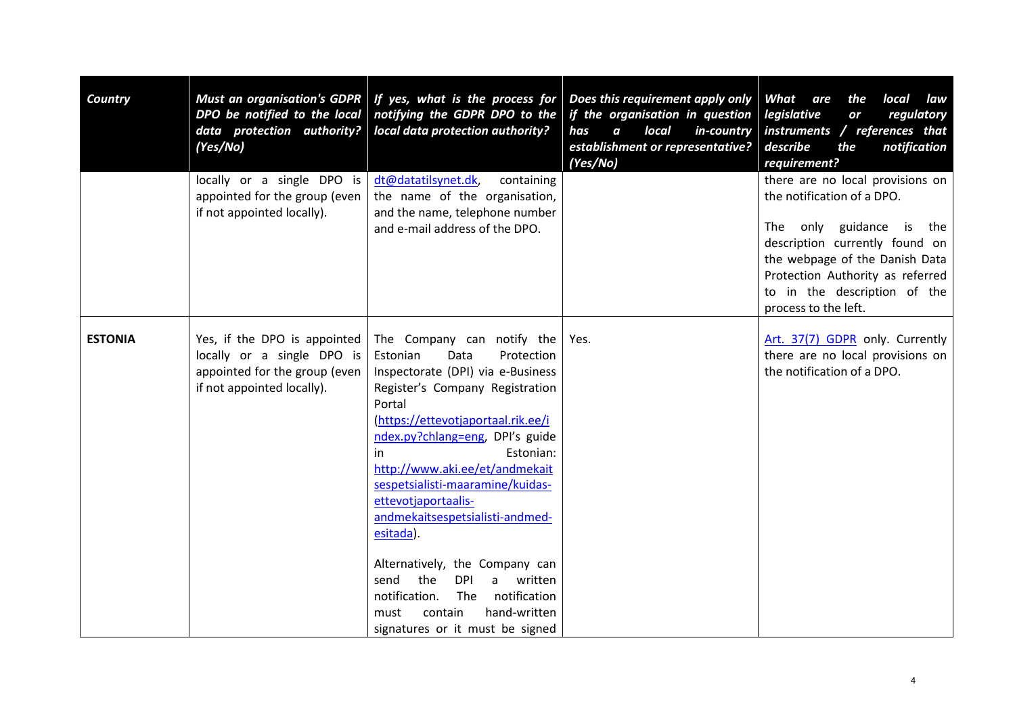| <b>Country</b> | DPO be notified to the local<br>data protection authority?<br>(Yes/No)                                                    | Must an organisation's GDPR   If yes, what is the process for<br>notifying the GDPR DPO to the<br>local data protection authority?                                                                                                                                                                                                                                                                                                                                                                                                                                                     | Does this requirement apply only<br>if the organisation in question<br>local<br>in-country<br>has<br>$\boldsymbol{a}$<br>establishment or representative?<br>(Yes/No) | What<br>are<br>the<br>local<br>law<br>legislative<br>regulatory<br>or<br>instruments / references that<br>describe<br>the<br>notification<br>requirement?                                                                                                     |
|----------------|---------------------------------------------------------------------------------------------------------------------------|----------------------------------------------------------------------------------------------------------------------------------------------------------------------------------------------------------------------------------------------------------------------------------------------------------------------------------------------------------------------------------------------------------------------------------------------------------------------------------------------------------------------------------------------------------------------------------------|-----------------------------------------------------------------------------------------------------------------------------------------------------------------------|---------------------------------------------------------------------------------------------------------------------------------------------------------------------------------------------------------------------------------------------------------------|
|                | locally or a single DPO is<br>appointed for the group (even<br>if not appointed locally).                                 | dt@datatilsynet.dk,<br>containing<br>the name of the organisation,<br>and the name, telephone number<br>and e-mail address of the DPO.                                                                                                                                                                                                                                                                                                                                                                                                                                                 |                                                                                                                                                                       | there are no local provisions on<br>the notification of a DPO.<br>The only guidance<br>is the<br>description currently found on<br>the webpage of the Danish Data<br>Protection Authority as referred<br>to in the description of the<br>process to the left. |
| <b>ESTONIA</b> | Yes, if the DPO is appointed<br>locally or a single DPO is<br>appointed for the group (even<br>if not appointed locally). | The Company can notify the<br>Estonian<br>Data<br>Protection<br>Inspectorate (DPI) via e-Business<br>Register's Company Registration<br>Portal<br>(https://ettevotjaportaal.rik.ee/i<br>ndex.py?chlang=eng, DPI's guide<br>Estonian:<br>in<br>http://www.aki.ee/et/andmekait<br>sespetsialisti-maaramine/kuidas-<br>ettevotjaportaalis-<br>andmekaitsespetsialisti-andmed-<br>esitada).<br>Alternatively, the Company can<br>the<br>send<br><b>DPI</b><br>written<br>a i<br>notification.<br>The<br>notification<br>hand-written<br>must<br>contain<br>signatures or it must be signed | Yes.                                                                                                                                                                  | Art. 37(7) GDPR only. Currently<br>there are no local provisions on<br>the notification of a DPO.                                                                                                                                                             |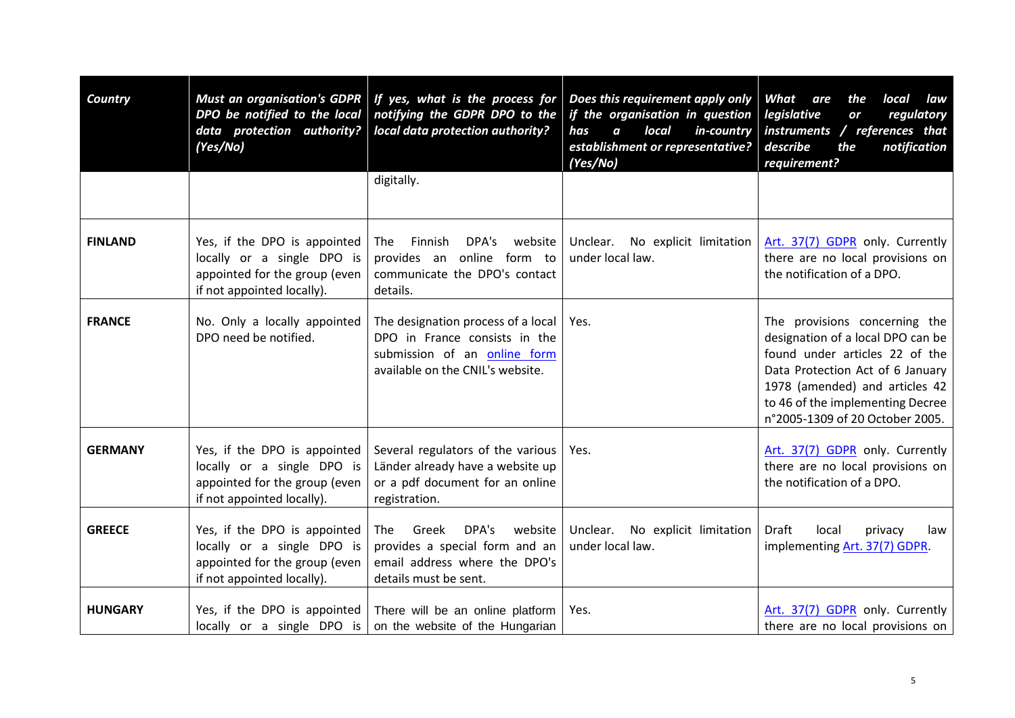| <b>Country</b> | <b>Must an organisation's GDPR</b><br>DPO be notified to the local<br>data protection authority?<br>(Yes/No)              | If yes, what is the process for<br>notifying the GDPR DPO to the<br>local data protection authority?                                    | Does this requirement apply only<br>if the organisation in question<br>local<br>$\boldsymbol{a}$<br>in-country<br>has<br>establishment or representative?<br>(Yes/No) | What<br>are<br>the<br>local<br>law<br>legislative<br>regulatory<br>or<br>instruments / references that<br>describe<br>the<br>notification<br>requirement?                                                                                         |
|----------------|---------------------------------------------------------------------------------------------------------------------------|-----------------------------------------------------------------------------------------------------------------------------------------|-----------------------------------------------------------------------------------------------------------------------------------------------------------------------|---------------------------------------------------------------------------------------------------------------------------------------------------------------------------------------------------------------------------------------------------|
|                |                                                                                                                           | digitally.                                                                                                                              |                                                                                                                                                                       |                                                                                                                                                                                                                                                   |
| <b>FINLAND</b> | Yes, if the DPO is appointed<br>locally or a single DPO is<br>appointed for the group (even<br>if not appointed locally). | Finnish<br>DPA's<br>website<br>The<br>provides an online form to<br>communicate the DPO's contact<br>details.                           | Unclear.<br>No explicit limitation<br>under local law.                                                                                                                | Art. 37(7) GDPR only. Currently<br>there are no local provisions on<br>the notification of a DPO.                                                                                                                                                 |
| <b>FRANCE</b>  | No. Only a locally appointed<br>DPO need be notified.                                                                     | The designation process of a local<br>DPO in France consists in the<br>submission of an online form<br>available on the CNIL's website. | Yes.                                                                                                                                                                  | The provisions concerning the<br>designation of a local DPO can be<br>found under articles 22 of the<br>Data Protection Act of 6 January<br>1978 (amended) and articles 42<br>to 46 of the implementing Decree<br>n°2005-1309 of 20 October 2005. |
| <b>GERMANY</b> | Yes, if the DPO is appointed<br>locally or a single DPO is<br>appointed for the group (even<br>if not appointed locally). | Several regulators of the various<br>Länder already have a website up<br>or a pdf document for an online<br>registration.               | Yes.                                                                                                                                                                  | Art. 37(7) GDPR only. Currently<br>there are no local provisions on<br>the notification of a DPO.                                                                                                                                                 |
| <b>GREECE</b>  | Yes, if the DPO is appointed<br>locally or a single DPO is<br>appointed for the group (even<br>if not appointed locally). | DPA's<br>website<br>Greek<br>The<br>provides a special form and an<br>email address where the DPO's<br>details must be sent.            | Unclear. No explicit limitation<br>under local law.                                                                                                                   | Draft<br>local<br>privacy<br>law<br>implementing Art. 37(7) GDPR.                                                                                                                                                                                 |
| <b>HUNGARY</b> | locally or a single DPO is                                                                                                | Yes, if the DPO is appointed There will be an online platform<br>on the website of the Hungarian                                        | Yes.                                                                                                                                                                  | Art. 37(7) GDPR only. Currently<br>there are no local provisions on                                                                                                                                                                               |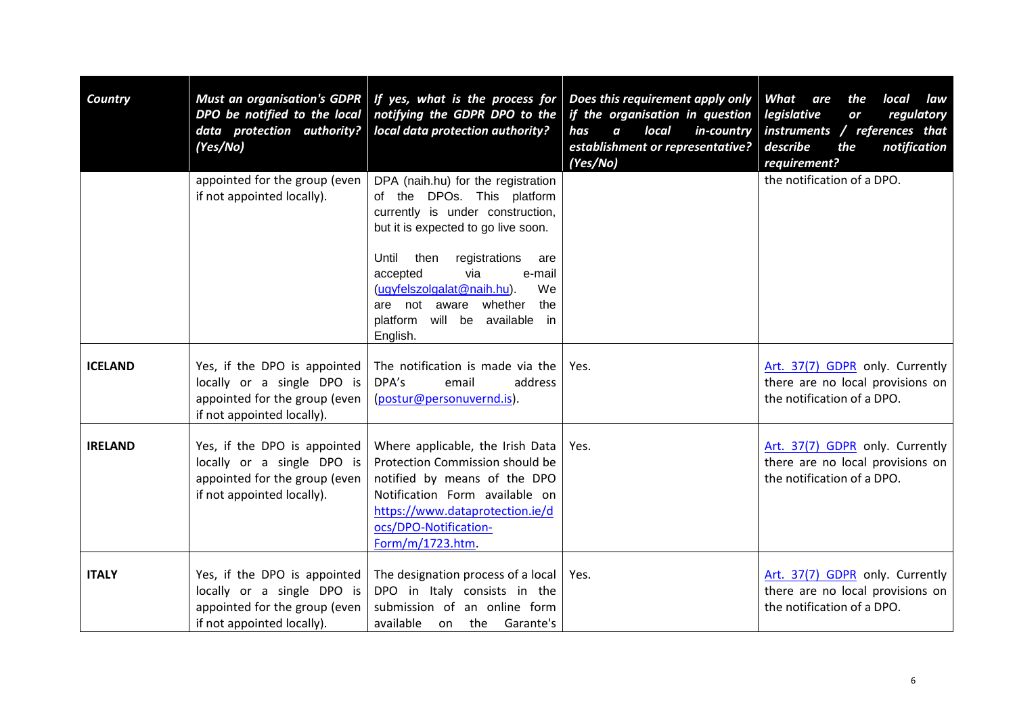| <b>Country</b> | DPO be notified to the local<br>data protection authority?<br>(Yes/No)                                                    | Must an organisation's GDPR   If yes, what is the process for<br>notifying the GDPR DPO to the<br>local data protection authority?                                                                                    | Does this requirement apply only<br>if the organisation in question<br>local<br>has<br>$\boldsymbol{a}$<br>in-country<br>establishment or representative?<br>(Yes/No) | What<br>are<br>the<br>local<br>law<br>legislative<br>regulatory<br>or<br>instruments / references that<br>notification<br>describe<br>the<br>requirement? |
|----------------|---------------------------------------------------------------------------------------------------------------------------|-----------------------------------------------------------------------------------------------------------------------------------------------------------------------------------------------------------------------|-----------------------------------------------------------------------------------------------------------------------------------------------------------------------|-----------------------------------------------------------------------------------------------------------------------------------------------------------|
|                | appointed for the group (even<br>if not appointed locally).                                                               | DPA (naih.hu) for the registration<br>of the DPOs. This platform<br>currently is under construction,<br>but it is expected to go live soon.<br>Until<br>then<br>registrations<br>are<br>via<br>accepted<br>e-mail     |                                                                                                                                                                       | the notification of a DPO.                                                                                                                                |
|                |                                                                                                                           | (ugyfelszolgalat@naih.hu).<br>We<br>are not aware whether<br>the<br>platform will be available in<br>English.                                                                                                         |                                                                                                                                                                       |                                                                                                                                                           |
| <b>ICELAND</b> | Yes, if the DPO is appointed<br>locally or a single DPO is<br>appointed for the group (even<br>if not appointed locally). | The notification is made via the<br>DPA's<br>email<br>address<br>(postur@personuvernd.is).                                                                                                                            | Yes.                                                                                                                                                                  | Art. 37(7) GDPR only. Currently<br>there are no local provisions on<br>the notification of a DPO.                                                         |
| <b>IRELAND</b> | Yes, if the DPO is appointed<br>locally or a single DPO is<br>appointed for the group (even<br>if not appointed locally). | Where applicable, the Irish Data<br>Protection Commission should be<br>notified by means of the DPO<br>Notification Form available on<br>https://www.dataprotection.ie/d<br>ocs/DPO-Notification-<br>Form/m/1723.htm. | Yes.                                                                                                                                                                  | Art. 37(7) GDPR only. Currently<br>there are no local provisions on<br>the notification of a DPO.                                                         |
| <b>ITALY</b>   | Yes, if the DPO is appointed<br>locally or a single DPO is<br>appointed for the group (even<br>if not appointed locally). | The designation process of a local<br>DPO in Italy consists in the<br>submission of an online form<br>available on the Garante's                                                                                      | Yes.                                                                                                                                                                  | Art. 37(7) GDPR only. Currently<br>there are no local provisions on<br>the notification of a DPO.                                                         |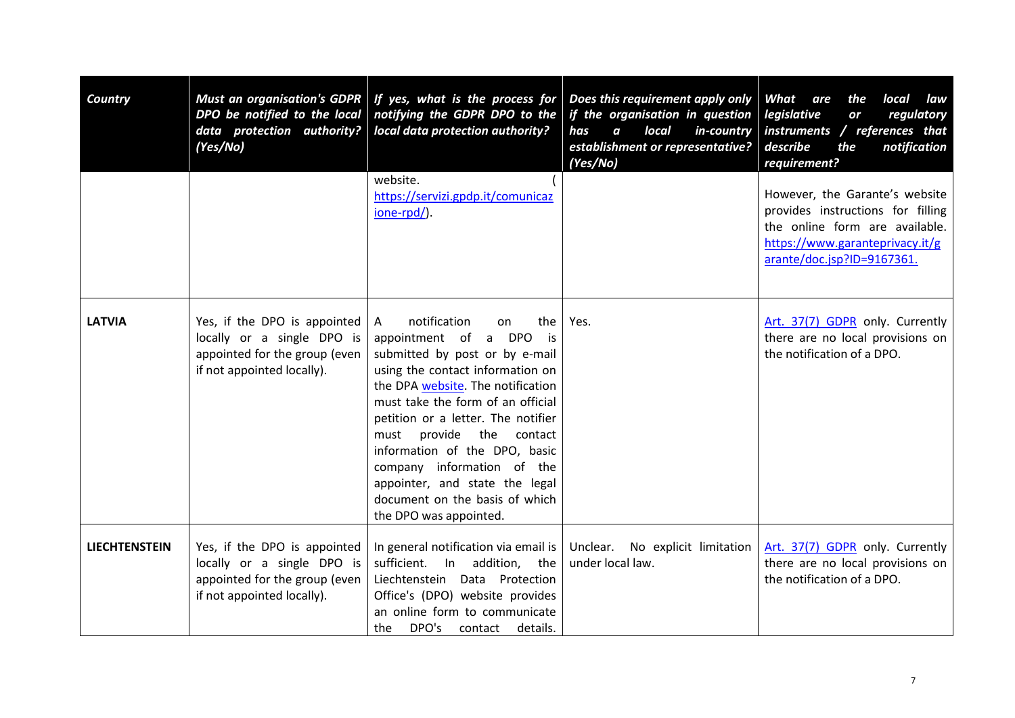| Country              | <b>Must an organisation's GDPR</b><br>DPO be notified to the local<br>data protection authority?<br>(Yes/No)              | If yes, what is the process for<br>notifying the GDPR DPO to the<br>local data protection authority?                                                                                                                                                                                                                                                                                                                                                            | Does this requirement apply only<br>if the organisation in question   legislative<br>local<br>has<br>$\boldsymbol{a}$<br>in-country<br>establishment or representative?<br>(Yes/No) | What<br>are<br>the<br>local<br>law<br>regulatory<br>or<br>instruments / references that<br>describe<br>notification<br>the<br>requirement?                             |
|----------------------|---------------------------------------------------------------------------------------------------------------------------|-----------------------------------------------------------------------------------------------------------------------------------------------------------------------------------------------------------------------------------------------------------------------------------------------------------------------------------------------------------------------------------------------------------------------------------------------------------------|-------------------------------------------------------------------------------------------------------------------------------------------------------------------------------------|------------------------------------------------------------------------------------------------------------------------------------------------------------------------|
|                      |                                                                                                                           | website.<br>https://servizi.gpdp.it/comunicaz<br>ione-rpd/).                                                                                                                                                                                                                                                                                                                                                                                                    |                                                                                                                                                                                     | However, the Garante's website<br>provides instructions for filling<br>the online form are available.<br>https://www.garanteprivacy.it/g<br>arante/doc.jsp?ID=9167361. |
| <b>LATVIA</b>        | Yes, if the DPO is appointed<br>locally or a single DPO is<br>appointed for the group (even<br>if not appointed locally). | notification<br>the<br>$\mathsf{A}$<br>on<br>appointment of a DPO<br>is is<br>submitted by post or by e-mail<br>using the contact information on<br>the DPA website. The notification<br>must take the form of an official<br>petition or a letter. The notifier<br>provide the<br>contact<br>must<br>information of the DPO, basic<br>company information of the<br>appointer, and state the legal<br>document on the basis of which<br>the DPO was appointed. | Yes.                                                                                                                                                                                | Art. 37(7) GDPR only. Currently<br>there are no local provisions on<br>the notification of a DPO.                                                                      |
| <b>LIECHTENSTEIN</b> | Yes, if the DPO is appointed<br>locally or a single DPO is<br>appointed for the group (even<br>if not appointed locally). | In general notification via email is<br>sufficient.<br>In addition, the<br>Liechtenstein Data Protection<br>Office's (DPO) website provides<br>an online form to communicate<br>DPO's<br>the<br>contact<br>details.                                                                                                                                                                                                                                             | Unclear. No explicit limitation<br>under local law.                                                                                                                                 | Art. 37(7) GDPR only. Currently<br>there are no local provisions on<br>the notification of a DPO.                                                                      |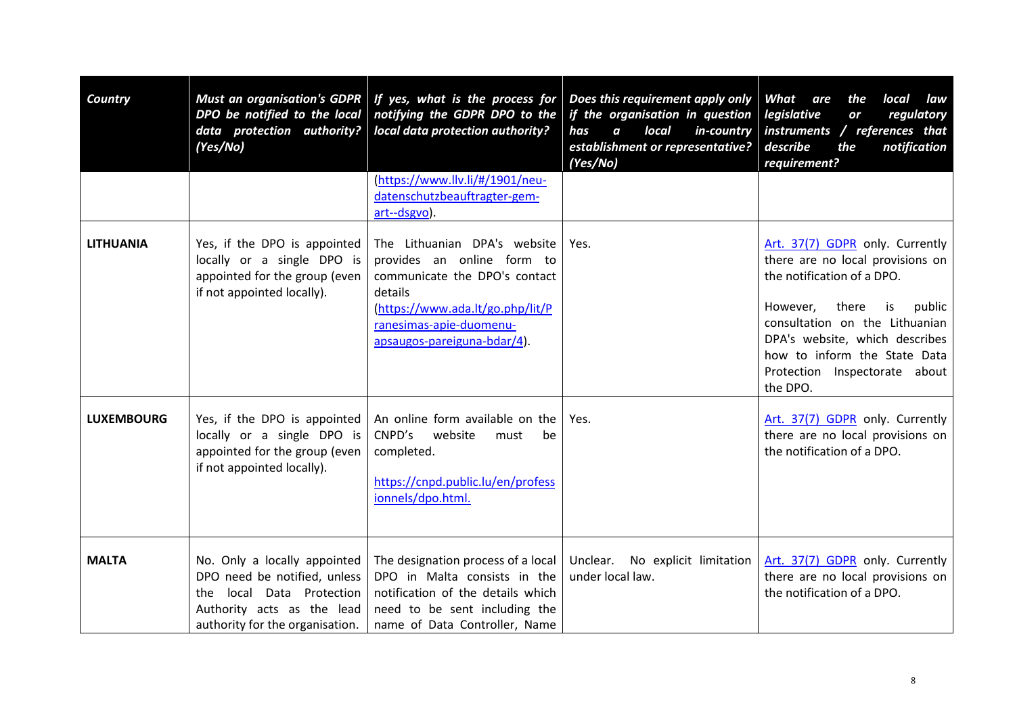| Country           | <b>Must an organisation's GDPR</b><br>DPO be notified to the local<br>data protection authority?<br>(Yes/No)                                                  | If yes, what is the process for<br>notifying the GDPR DPO to the<br>local data protection authority?                                                                                                 | Does this requirement apply only<br>if the organisation in question<br>local<br>has<br>$\boldsymbol{a}$<br>in-country<br>establishment or representative?<br>(Yes/No) | What<br>local<br>are<br>the<br>law<br>legislative<br>regulatory<br>or<br>instruments / references that<br>describe<br>notification<br>the<br>requirement?                                                                                                                               |
|-------------------|---------------------------------------------------------------------------------------------------------------------------------------------------------------|------------------------------------------------------------------------------------------------------------------------------------------------------------------------------------------------------|-----------------------------------------------------------------------------------------------------------------------------------------------------------------------|-----------------------------------------------------------------------------------------------------------------------------------------------------------------------------------------------------------------------------------------------------------------------------------------|
|                   |                                                                                                                                                               | (https://www.llv.li/#/1901/neu-<br>datenschutzbeauftragter-gem-<br>art--dsgvo).                                                                                                                      |                                                                                                                                                                       |                                                                                                                                                                                                                                                                                         |
| <b>LITHUANIA</b>  | Yes, if the DPO is appointed<br>locally or a single DPO is<br>appointed for the group (even<br>if not appointed locally).                                     | The Lithuanian DPA's website<br>provides an online form to<br>communicate the DPO's contact<br>details<br>(https://www.ada.lt/go.php/lit/P<br>ranesimas-apie-duomenu-<br>apsaugos-pareiguna-bdar/4). | Yes.                                                                                                                                                                  | Art. 37(7) GDPR only. Currently<br>there are no local provisions on<br>the notification of a DPO.<br>However,<br>there<br>is<br>public<br>consultation on the Lithuanian<br>DPA's website, which describes<br>how to inform the State Data<br>Protection Inspectorate about<br>the DPO. |
| <b>LUXEMBOURG</b> | Yes, if the DPO is appointed<br>locally or a single DPO is<br>appointed for the group (even<br>if not appointed locally).                                     | An online form available on the<br>CNPD's<br>website<br>must<br>be<br>completed.<br>https://cnpd.public.lu/en/profess<br>ionnels/dpo.html.                                                           | Yes.                                                                                                                                                                  | Art. 37(7) GDPR only. Currently<br>there are no local provisions on<br>the notification of a DPO.                                                                                                                                                                                       |
| <b>MALTA</b>      | No. Only a locally appointed<br>DPO need be notified, unless<br>local Data Protection<br>the<br>Authority acts as the lead<br>authority for the organisation. | The designation process of a local<br>DPO in Malta consists in the<br>notification of the details which<br>need to be sent including the<br>name of Data Controller, Name                            | Unclear.<br>No explicit limitation<br>under local law.                                                                                                                | Art. 37(7) GDPR only. Currently<br>there are no local provisions on<br>the notification of a DPO.                                                                                                                                                                                       |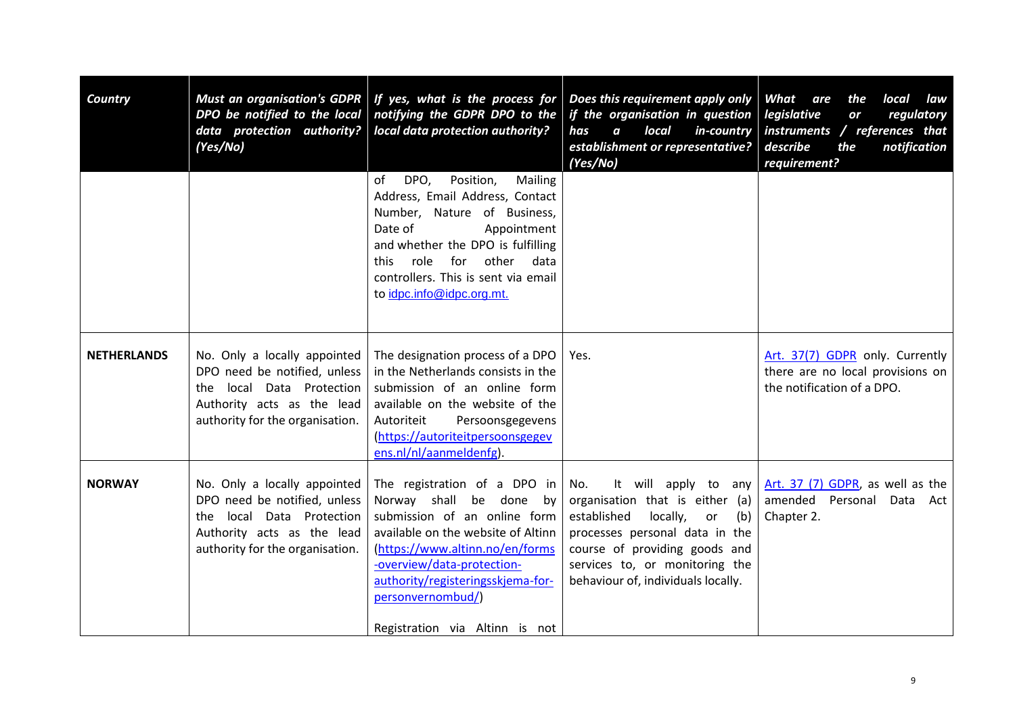| Country            | <b>Must an organisation's GDPR</b><br>DPO be notified to the local<br>data protection authority?<br>(Yes/No)                                                  | If yes, what is the process for<br>notifying the GDPR DPO to the<br>local data protection authority?                                                                                                                                                                                       | Does this requirement apply only<br>if the organisation in question   legislative<br>local<br>in-country<br>has<br>$\boldsymbol{a}$<br>establishment or representative?<br>(Yes/No)                                                               | What<br>are<br>the<br>local<br>law<br>regulatory<br>or<br>instruments / references that<br>describe<br>the<br>notification<br>requirement? |
|--------------------|---------------------------------------------------------------------------------------------------------------------------------------------------------------|--------------------------------------------------------------------------------------------------------------------------------------------------------------------------------------------------------------------------------------------------------------------------------------------|---------------------------------------------------------------------------------------------------------------------------------------------------------------------------------------------------------------------------------------------------|--------------------------------------------------------------------------------------------------------------------------------------------|
|                    |                                                                                                                                                               | DPO,<br>Position,<br>Mailing<br>of<br>Address, Email Address, Contact<br>Number, Nature of Business,<br>Date of<br>Appointment<br>and whether the DPO is fulfilling<br>role for other<br>this<br>data<br>controllers. This is sent via email<br>to idpc.info@idpc.org.mt.                  |                                                                                                                                                                                                                                                   |                                                                                                                                            |
| <b>NETHERLANDS</b> | No. Only a locally appointed<br>DPO need be notified, unless<br>local Data Protection<br>the<br>Authority acts as the lead<br>authority for the organisation. | The designation process of a DPO<br>in the Netherlands consists in the<br>submission of an online form<br>available on the website of the<br>Autoriteit<br>Persoonsgegevens<br>(https://autoriteitpersoonsgegev<br>ens.nl/nl/aanmeldenfg).                                                 | Yes.                                                                                                                                                                                                                                              | Art. 37(7) GDPR only. Currently<br>there are no local provisions on<br>the notification of a DPO.                                          |
| <b>NORWAY</b>      | No. Only a locally appointed<br>DPO need be notified, unless<br>the local Data Protection<br>Authority acts as the lead<br>authority for the organisation.    | The registration of a DPO in<br>Norway shall be done by<br>submission of an online form<br>available on the website of Altinn<br>(https://www.altinn.no/en/forms<br>-overview/data-protection-<br>authority/registeringsskjema-for-<br>personvernombud/)<br>Registration via Altinn is not | It will apply to any<br>No.<br>organisation that is either (a)<br>locally,<br>established<br>(b)<br>or<br>processes personal data in the<br>course of providing goods and<br>services to, or monitoring the<br>behaviour of, individuals locally. | Art. 37 (7) GDPR, as well as the<br>amended Personal Data Act<br>Chapter 2.                                                                |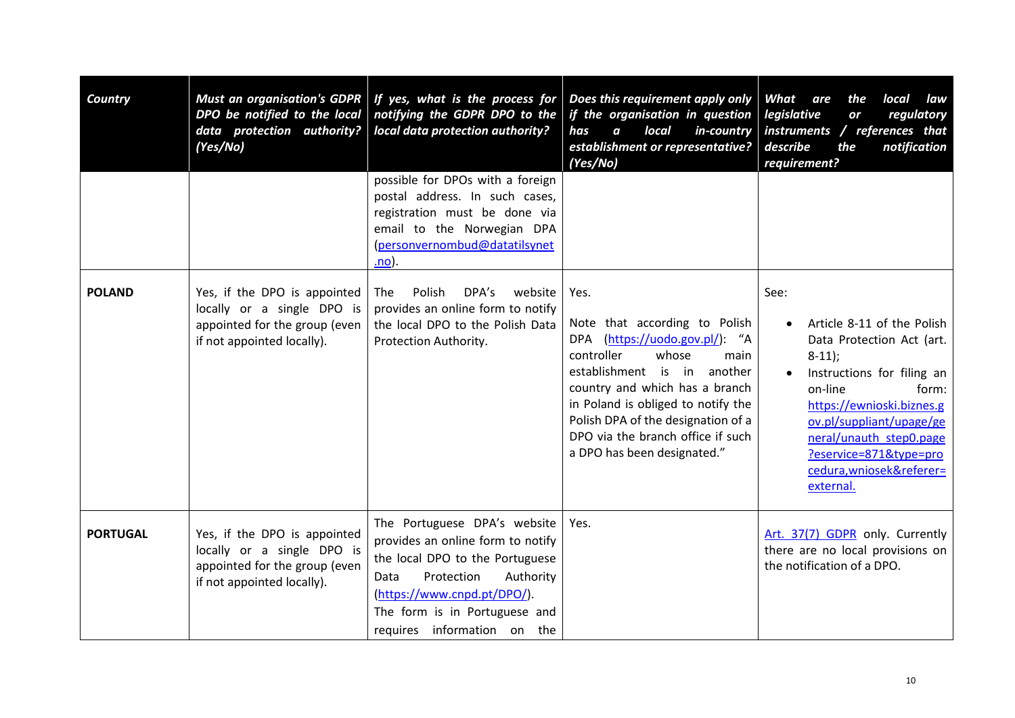| Country         | <b>Must an organisation's GDPR</b><br>DPO be notified to the local<br>data protection authority?<br>(Yes/No)              | If yes, what is the process for<br>notifying the GDPR DPO to the<br>local data protection authority?                                                                                                                                   | Does this requirement apply only<br>if the organisation in question<br>local<br>in-country<br>has<br>$\boldsymbol{a}$<br>establishment or representative?<br>(Yes/No)                                                                                                                                                      | What<br>are<br>the<br>local<br>law<br>legislative<br>regulatory<br>or<br>instruments / references that<br>describe<br>notification<br>the<br>requirement?                                                                                                                            |
|-----------------|---------------------------------------------------------------------------------------------------------------------------|----------------------------------------------------------------------------------------------------------------------------------------------------------------------------------------------------------------------------------------|----------------------------------------------------------------------------------------------------------------------------------------------------------------------------------------------------------------------------------------------------------------------------------------------------------------------------|--------------------------------------------------------------------------------------------------------------------------------------------------------------------------------------------------------------------------------------------------------------------------------------|
|                 |                                                                                                                           | possible for DPOs with a foreign<br>postal address. In such cases,<br>registration must be done via<br>email to the Norwegian DPA<br>(personvernombud@datatilsynet<br>.no).                                                            |                                                                                                                                                                                                                                                                                                                            |                                                                                                                                                                                                                                                                                      |
| <b>POLAND</b>   | Yes, if the DPO is appointed<br>locally or a single DPO is<br>appointed for the group (even<br>if not appointed locally). | Polish<br>DPA's<br>website<br><b>The</b><br>provides an online form to notify<br>the local DPO to the Polish Data<br>Protection Authority.                                                                                             | Yes.<br>Note that according to Polish<br>DPA (https://uodo.gov.pl/): "A<br>controller<br>whose<br>main<br>establishment is in<br>another<br>country and which has a branch<br>in Poland is obliged to notify the<br>Polish DPA of the designation of a<br>DPO via the branch office if such<br>a DPO has been designated." | See:<br>Article 8-11 of the Polish<br>Data Protection Act (art.<br>$8-11$ ;<br>Instructions for filing an<br>on-line<br>form:<br>https://ewnioski.biznes.g<br>ov.pl/suppliant/upage/ge<br>neral/unauth step0.page<br>?eservice=871&type=pro<br>cedura, wniosek&referer=<br>external. |
| <b>PORTUGAL</b> | Yes, if the DPO is appointed<br>locally or a single DPO is<br>appointed for the group (even<br>if not appointed locally). | The Portuguese DPA's website<br>provides an online form to notify<br>the local DPO to the Portuguese<br>Protection<br>Authority<br>Data<br>(https://www.cnpd.pt/DPO/).<br>The form is in Portuguese and<br>requires information on the | Yes.                                                                                                                                                                                                                                                                                                                       | Art. 37(7) GDPR only. Currently<br>there are no local provisions on<br>the notification of a DPO.                                                                                                                                                                                    |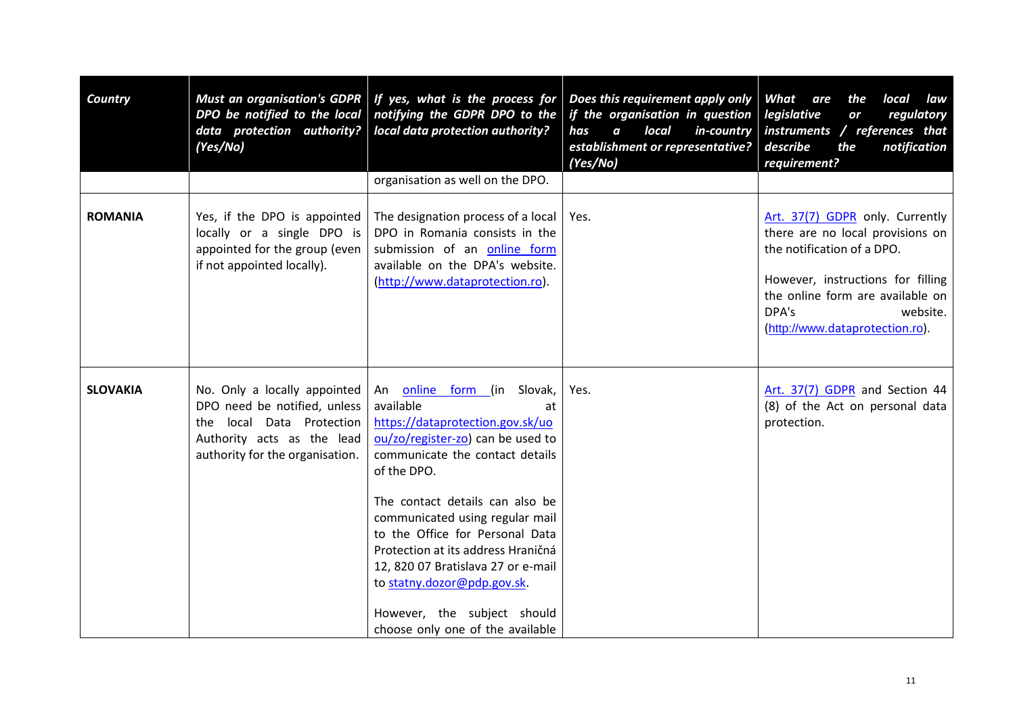| Country         | DPO be notified to the local<br>data protection authority?<br>(Yes/No)                                                                                        | Must an organisation's GDPR   If yes, what is the process for<br>notifying the GDPR DPO to the<br>local data protection authority?<br>organisation as well on the DPO.                                                                                                                                                                                                                                                                                             | Does this requirement apply only<br>if the organisation in question   legislative<br>has<br>$\boldsymbol{a}$<br>local<br>in-country<br>establishment or representative?<br>(Yes/No) | What<br>are<br>the<br>local<br>law<br>regulatory<br>or<br>instruments / references that<br>describe<br>the<br>notification<br>requirement?                                                                                         |
|-----------------|---------------------------------------------------------------------------------------------------------------------------------------------------------------|--------------------------------------------------------------------------------------------------------------------------------------------------------------------------------------------------------------------------------------------------------------------------------------------------------------------------------------------------------------------------------------------------------------------------------------------------------------------|-------------------------------------------------------------------------------------------------------------------------------------------------------------------------------------|------------------------------------------------------------------------------------------------------------------------------------------------------------------------------------------------------------------------------------|
| <b>ROMANIA</b>  | Yes, if the DPO is appointed<br>locally or a single DPO is<br>appointed for the group (even<br>if not appointed locally).                                     | The designation process of a local<br>DPO in Romania consists in the<br>submission of an online form<br>available on the DPA's website.<br>(http://www.dataprotection.ro).                                                                                                                                                                                                                                                                                         | Yes.                                                                                                                                                                                | Art. 37(7) GDPR only. Currently<br>there are no local provisions on<br>the notification of a DPO.<br>However, instructions for filling<br>the online form are available on<br>DPA's<br>website.<br>(http://www.dataprotection.ro). |
| <b>SLOVAKIA</b> | No. Only a locally appointed<br>DPO need be notified, unless<br>local Data Protection<br>the<br>Authority acts as the lead<br>authority for the organisation. | online form (in Slovak,<br>An<br>available<br>at<br>https://dataprotection.gov.sk/uo<br>ou/zo/register-zo) can be used to<br>communicate the contact details<br>of the DPO.<br>The contact details can also be<br>communicated using regular mail<br>to the Office for Personal Data<br>Protection at its address Hraničná<br>12, 820 07 Bratislava 27 or e-mail<br>to statny.dozor@pdp.gov.sk.<br>However, the subject should<br>choose only one of the available | Yes.                                                                                                                                                                                | Art. 37(7) GDPR and Section 44<br>(8) of the Act on personal data<br>protection.                                                                                                                                                   |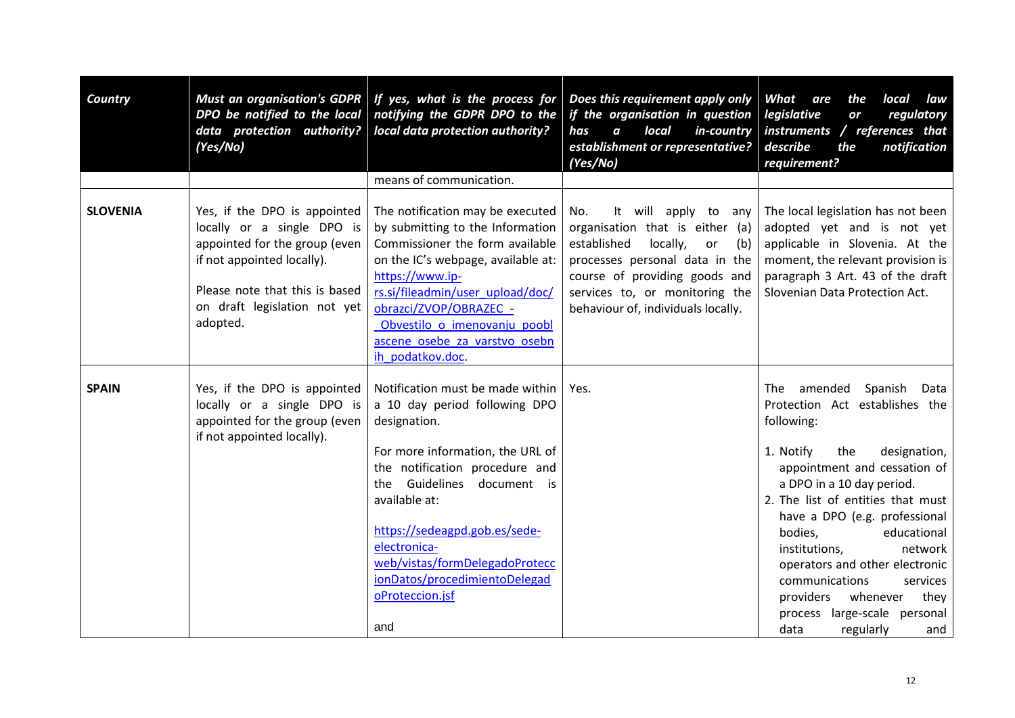| <b>Country</b>  | <b>Must an organisation's GDPR</b><br>DPO be notified to the local<br>data protection authority?<br>(Yes/No)                                                                                            | If yes, what is the process for<br>notifying the GDPR DPO to the<br>local data protection authority?                                                                                                                                                                                                                                                    | Does this requirement apply only<br>if the organisation in question<br>local<br>$in$ -country<br>has<br>$\boldsymbol{a}$<br>establishment or representative?<br>(Yes/No)                                                                          | What<br>are<br>the<br>local<br>law<br>legislative<br>regulatory<br>or<br>instruments / references that<br>describe<br>notification<br>the<br>requirement?                                                                                                                                                                                                                                                                                                             |
|-----------------|---------------------------------------------------------------------------------------------------------------------------------------------------------------------------------------------------------|---------------------------------------------------------------------------------------------------------------------------------------------------------------------------------------------------------------------------------------------------------------------------------------------------------------------------------------------------------|---------------------------------------------------------------------------------------------------------------------------------------------------------------------------------------------------------------------------------------------------|-----------------------------------------------------------------------------------------------------------------------------------------------------------------------------------------------------------------------------------------------------------------------------------------------------------------------------------------------------------------------------------------------------------------------------------------------------------------------|
|                 |                                                                                                                                                                                                         | means of communication.                                                                                                                                                                                                                                                                                                                                 |                                                                                                                                                                                                                                                   |                                                                                                                                                                                                                                                                                                                                                                                                                                                                       |
| <b>SLOVENIA</b> | Yes, if the DPO is appointed<br>locally or a single DPO is<br>appointed for the group (even<br>if not appointed locally).<br>Please note that this is based<br>on draft legislation not yet<br>adopted. | The notification may be executed<br>by submitting to the Information<br>Commissioner the form available<br>on the IC's webpage, available at:<br>https://www.ip-<br>rs.si/fileadmin/user_upload/doc/<br>obrazci/ZVOP/OBRAZEC -<br>Obvestilo o imenovanju poobl<br>ascene osebe za varstvo osebn<br>ih podatkov.doc.                                     | It will apply to any<br>No.<br>organisation that is either (a)<br>established<br>locally,<br>or<br>(b)<br>processes personal data in the<br>course of providing goods and<br>services to, or monitoring the<br>behaviour of, individuals locally. | The local legislation has not been<br>adopted yet and is not yet<br>applicable in Slovenia. At the<br>moment, the relevant provision is<br>paragraph 3 Art. 43 of the draft<br>Slovenian Data Protection Act.                                                                                                                                                                                                                                                         |
| <b>SPAIN</b>    | Yes, if the DPO is appointed<br>locally or a single DPO is<br>appointed for the group (even<br>if not appointed locally).                                                                               | Notification must be made within<br>a 10 day period following DPO<br>designation.<br>For more information, the URL of<br>the notification procedure and<br>the Guidelines<br>document is<br>available at:<br>https://sedeagpd.gob.es/sede-<br>electronica-<br>web/vistas/formDelegadoProtecc<br>ionDatos/procedimientoDelegad<br>oProteccion.jsf<br>and | Yes.                                                                                                                                                                                                                                              | The amended Spanish<br>Data<br>Protection Act establishes the<br>following:<br>1. Notify<br>the<br>designation,<br>appointment and cessation of<br>a DPO in a 10 day period.<br>2. The list of entities that must<br>have a DPO (e.g. professional<br>bodies,<br>educational<br>network<br>institutions,<br>operators and other electronic<br>communications<br>services<br>they<br>providers<br>whenever<br>process large-scale personal<br>data<br>regularly<br>and |